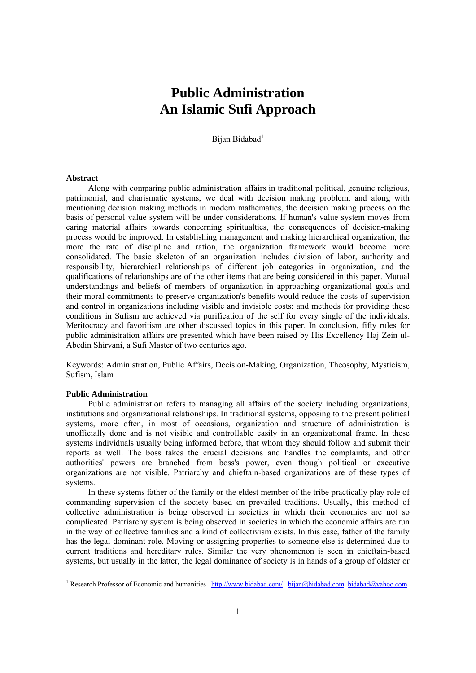# **Public Administration An Islamic Sufi Approach**

Bijan Bidabad<sup>1</sup>

## **Abstract**

Along with comparing public administration affairs in traditional political, genuine religious, patrimonial, and charismatic systems, we deal with decision making problem, and along with mentioning decision making methods in modern mathematics, the decision making process on the basis of personal value system will be under considerations. If human's value system moves from caring material affairs towards concerning spiritualties, the consequences of decision-making process would be improved. In establishing management and making hierarchical organization, the more the rate of discipline and ration, the organization framework would become more consolidated. The basic skeleton of an organization includes division of labor, authority and responsibility, hierarchical relationships of different job categories in organization, and the qualifications of relationships are of the other items that are being considered in this paper. Mutual understandings and beliefs of members of organization in approaching organizational goals and their moral commitments to preserve organization's benefits would reduce the costs of supervision and control in organizations including visible and invisible costs; and methods for providing these conditions in Sufism are achieved via purification of the self for every single of the individuals. Meritocracy and favoritism are other discussed topics in this paper. In conclusion, fifty rules for public administration affairs are presented which have been raised by His Excellency Haj Zein ul-Abedin Shirvani, a Sufi Master of two centuries ago.

Keywords: Administration, Public Affairs, Decision-Making, Organization, Theosophy, Mysticism, Sufism, Islam

## **Public Administration**

Public administration refers to managing all affairs of the society including organizations, institutions and organizational relationships. In traditional systems, opposing to the present political systems, more often, in most of occasions, organization and structure of administration is unofficially done and is not visible and controllable easily in an organizational frame. In these systems individuals usually being informed before, that whom they should follow and submit their reports as well. The boss takes the crucial decisions and handles the complaints, and other authorities' powers are branched from boss's power, even though political or executive organizations are not visible. Patriarchy and chieftain-based organizations are of these types of systems.

In these systems father of the family or the eldest member of the tribe practically play role of commanding supervision of the society based on prevailed traditions. Usually, this method of collective administration is being observed in societies in which their economies are not so complicated. Patriarchy system is being observed in societies in which the economic affairs are run in the way of collective families and a kind of collectivism exists. In this case, father of the family has the legal dominant role. Moving or assigning properties to someone else is determined due to current traditions and hereditary rules. Similar the very phenomenon is seen in chieftain-based systems, but usually in the latter, the legal dominance of society is in hands of a group of oldster or

<sup>&</sup>lt;sup>1</sup> Research Professor of Economic and humanities http://www.bidabad.com/ bijan@bidabad.com bidabad@yahoo.com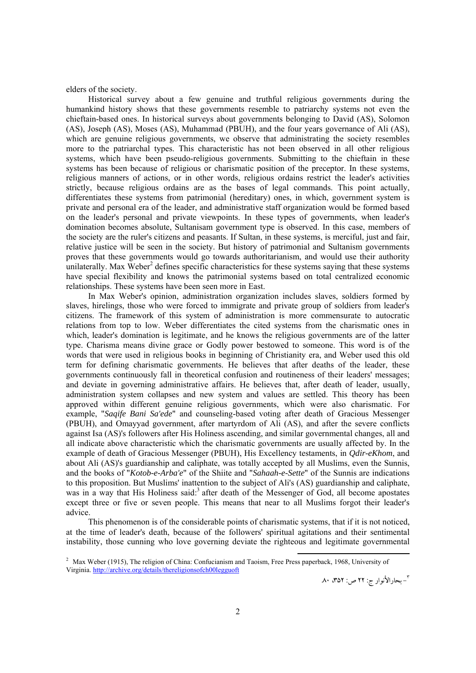elders of the society.

Historical survey about a few genuine and truthful religious governments during the humankind history shows that these governments resemble to patriarchy systems not even the chieftain-based ones. In historical surveys about governments belonging to David (AS), Solomon (AS), Joseph (AS), Moses (AS), Muhammad (PBUH), and the four years governance of Ali (AS), which are genuine religious governments, we observe that administrating the society resembles more to the patriarchal types. This characteristic has not been observed in all other religious systems, which have been pseudo-religious governments. Submitting to the chieftain in these systems has been because of religious or charismatic position of the preceptor. In these systems, religious manners of actions, or in other words, religious ordains restrict the leader's activities strictly, because religious ordains are as the bases of legal commands. This point actually, differentiates these systems from patrimonial (hereditary) ones, in which, government system is private and personal era of the leader, and administrative staff organization would be formed based on the leader's personal and private viewpoints. In these types of governments, when leader's domination becomes absolute, Sultanisam government type is observed. In this case, members of the society are the ruler's citizens and peasants. If Sultan, in these systems, is merciful, just and fair, relative justice will be seen in the society. But history of patrimonial and Sultanism governments proves that these governments would go towards authoritarianism, and would use their authority unilaterally. Max Weber<sup>2</sup> defines specific characteristics for these systems saying that these systems have special flexibility and knows the patrimonial systems based on total centralized economic relationships. These systems have been seen more in East.

In Max Weber's opinion, administration organization includes slaves, soldiers formed by slaves, hirelings, those who were forced to immigrate and private group of soldiers from leader's citizens. The framework of this system of administration is more commensurate to autocratic relations from top to low. Weber differentiates the cited systems from the charismatic ones in which, leader's domination is legitimate, and he knows the religious governments are of the latter type. Charisma means divine grace or Godly power bestowed to someone. This word is of the words that were used in religious books in beginning of Christianity era, and Weber used this old term for defining charismatic governments. He believes that after deaths of the leader, these governments continuously fall in theoretical confusion and routineness of their leaders' messages; and deviate in governing administrative affairs. He believes that, after death of leader, usually, administration system collapses and new system and values are settled. This theory has been approved within different genuine religious governments, which were also charismatic. For example, "*Saqife Bani Sa'ede*" and counseling-based voting after death of Gracious Messenger (PBUH), and Omayyad government, after martyrdom of Ali (AS), and after the severe conflicts against Isa (AS)'s followers after His Holiness ascending, and similar governmental changes, all and all indicate above characteristic which the charismatic governments are usually affected by. In the example of death of Gracious Messenger (PBUH), His Excellency testaments, in *Qdir-eKhom*, and about Ali (AS)'s guardianship and caliphate, was totally accepted by all Muslims, even the Sunnis, and the books of "*Kotob-e-Arba'e*" of the Shiite and "*Sahaah-e-Sette*" of the Sunnis are indications to this proposition. But Muslims' inattention to the subject of Ali's (AS) guardianship and caliphate, was in a way that His Holiness said:<sup>3</sup> after death of the Messenger of God, all become apostates except three or five or seven people. This means that near to all Muslims forgot their leader's advice.

This phenomenon is of the considerable points of charismatic systems, that if it is not noticed, at the time of leader's death, because of the followers' spiritual agitations and their sentimental instability, those cunning who love governing deviate the righteous and legitimate governmental

- بحارالأنوار ج: 22 ص: ،352 .80<sup>٣</sup>

<sup>2</sup> Max Weber (1915), The religion of China: Confucianism and Taoism, Free Press paperback, 1968, University of Virginia. http://archive.org/details/thereligionsofch00legguoft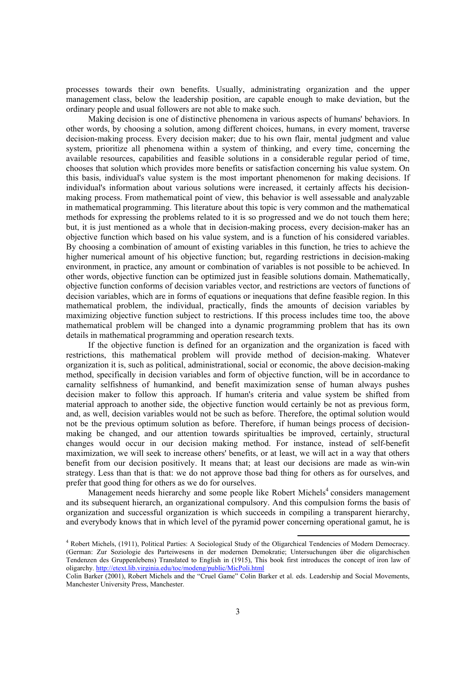processes towards their own benefits. Usually, administrating organization and the upper management class, below the leadership position, are capable enough to make deviation, but the ordinary people and usual followers are not able to make such.

Making decision is one of distinctive phenomena in various aspects of humans' behaviors. In other words, by choosing a solution, among different choices, humans, in every moment, traverse decision-making process. Every decision maker; due to his own flair, mental judgment and value system, prioritize all phenomena within a system of thinking, and every time, concerning the available resources, capabilities and feasible solutions in a considerable regular period of time, chooses that solution which provides more benefits or satisfaction concerning his value system. On this basis, individual's value system is the most important phenomenon for making decisions. If individual's information about various solutions were increased, it certainly affects his decisionmaking process. From mathematical point of view, this behavior is well assessable and analyzable in mathematical programming. This literature about this topic is very common and the mathematical methods for expressing the problems related to it is so progressed and we do not touch them here; but, it is just mentioned as a whole that in decision-making process, every decision-maker has an objective function which based on his value system, and is a function of his considered variables. By choosing a combination of amount of existing variables in this function, he tries to achieve the higher numerical amount of his objective function; but, regarding restrictions in decision-making environment, in practice, any amount or combination of variables is not possible to be achieved. In other words, objective function can be optimized just in feasible solutions domain. Mathematically, objective function conforms of decision variables vector, and restrictions are vectors of functions of decision variables, which are in forms of equations or inequations that define feasible region. In this mathematical problem, the individual, practically, finds the amounts of decision variables by maximizing objective function subject to restrictions. If this process includes time too, the above mathematical problem will be changed into a dynamic programming problem that has its own details in mathematical programming and operation research texts.

If the objective function is defined for an organization and the organization is faced with restrictions, this mathematical problem will provide method of decision-making. Whatever organization it is, such as political, administrational, social or economic, the above decision-making method, specifically in decision variables and form of objective function, will be in accordance to carnality selfishness of humankind, and benefit maximization sense of human always pushes decision maker to follow this approach. If human's criteria and value system be shifted from material approach to another side, the objective function would certainly be not as previous form, and, as well, decision variables would not be such as before. Therefore, the optimal solution would not be the previous optimum solution as before. Therefore, if human beings process of decisionmaking be changed, and our attention towards spiritualties be improved, certainly, structural changes would occur in our decision making method. For instance, instead of self-benefit maximization, we will seek to increase others' benefits, or at least, we will act in a way that others benefit from our decision positively. It means that; at least our decisions are made as win-win strategy. Less than that is that: we do not approve those bad thing for others as for ourselves, and prefer that good thing for others as we do for ourselves.

Management needs hierarchy and some people like Robert Michels<sup>4</sup> considers management and its subsequent hierarch, an organizational compulsory. And this compulsion forms the basis of organization and successful organization is which succeeds in compiling a transparent hierarchy, and everybody knows that in which level of the pyramid power concerning operational gamut, he is

<sup>4</sup> Robert Michels, (1911), Political Parties: A Sociological Study of the Oligarchical Tendencies of Modern Democracy. (German: Zur Soziologie des Parteiwesens in der modernen Demokratie; Untersuchungen über die oligarchischen Tendenzen des Gruppenlebens) Translated to English in (1915), This book first introduces the concept of iron law of oligarchy. http://etext.lib.virginia.edu/toc/modeng/public/MicPoli.html

Colin Barker (2001), Robert Michels and the "Cruel Game" Colin Barker et al. eds. Leadership and Social Movements, Manchester University Press, Manchester.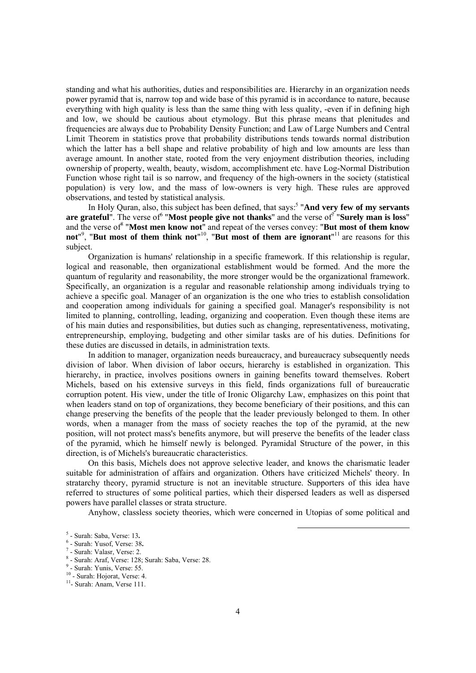standing and what his authorities, duties and responsibilities are. Hierarchy in an organization needs power pyramid that is, narrow top and wide base of this pyramid is in accordance to nature, because everything with high quality is less than the same thing with less quality, -even if in defining high and low, we should be cautious about etymology. But this phrase means that plenitudes and frequencies are always due to Probability Density Function; and Law of Large Numbers and Central Limit Theorem in statistics prove that probability distributions tends towards normal distribution which the latter has a bell shape and relative probability of high and low amounts are less than average amount. In another state, rooted from the very enjoyment distribution theories, including ownership of property, wealth, beauty, wisdom, accomplishment etc. have Log-Normal Distribution Function whose right tail is so narrow, and frequency of the high-owners in the society (statistical population) is very low, and the mass of low-owners is very high. These rules are approved observations, and tested by statistical analysis.

In Holy Quran, also, this subject has been defined, that says:<sup>5</sup> "And very few of my servants are grateful". The verse of "**Most people give not thanks**" and the verse of **The View of The View of Surely man is loss**" and the verse of "Most men know not" and repeat of the verses convey: "But most of them know not<sup>"<sup>9</sup>, "But most of them think not"<sup>10</sup>, "But most of them are ignorant"<sup>11</sup> are reasons for this</sup> subject.

Organization is humans' relationship in a specific framework. If this relationship is regular, logical and reasonable, then organizational establishment would be formed. And the more the quantum of regularity and reasonability, the more stronger would be the organizational framework. Specifically, an organization is a regular and reasonable relationship among individuals trying to achieve a specific goal. Manager of an organization is the one who tries to establish consolidation and cooperation among individuals for gaining a specified goal. Manager's responsibility is not limited to planning, controlling, leading, organizing and cooperation. Even though these items are of his main duties and responsibilities, but duties such as changing, representativeness, motivating, entrepreneurship, employing, budgeting and other similar tasks are of his duties. Definitions for these duties are discussed in details, in administration texts.

In addition to manager, organization needs bureaucracy, and bureaucracy subsequently needs division of labor. When division of labor occurs, hierarchy is established in organization. This hierarchy, in practice, involves positions owners in gaining benefits toward themselves. Robert Michels, based on his extensive surveys in this field, finds organizations full of bureaucratic corruption potent. His view, under the title of Ironic Oligarchy Law, emphasizes on this point that when leaders stand on top of organizations, they become beneficiary of their positions, and this can change preserving the benefits of the people that the leader previously belonged to them. In other words, when a manager from the mass of society reaches the top of the pyramid, at the new position, will not protect mass's benefits anymore, but will preserve the benefits of the leader class of the pyramid, which he himself newly is belonged. Pyramidal Structure of the power, in this direction, is of Michels's bureaucratic characteristics.

On this basis, Michels does not approve selective leader, and knows the charismatic leader suitable for administration of affairs and organization. Others have criticized Michels' theory. In stratarchy theory, pyramid structure is not an inevitable structure. Supporters of this idea have referred to structures of some political parties, which their dispersed leaders as well as dispersed powers have parallel classes or strata structure.

Anyhow, classless society theories, which were concerned in Utopias of some political and

 $\frac{5}{2}$  Surah: Saba Maraa: 12 <sup>5</sup> - Surah: Saba, Verse: 13.<br><sup>6</sup> - Surah: Vusaf, Verse: 38

<sup>&</sup>lt;sup>6</sup> - Surah: Yusof, Verse: 38.

 $7$  - Surah: Valasr, Verse: 2.

<sup>&</sup>lt;sup>8</sup> - Surah: Araf, Verse: 128; Surah: Saba, Verse: 28.

 $<sup>9</sup>$  - Surah: Yunis, Verse: 55.</sup>

 $10 -$  Surah: Hojorat, Verse: 4.<br> $11 -$  Surah: Anam, Verse 111.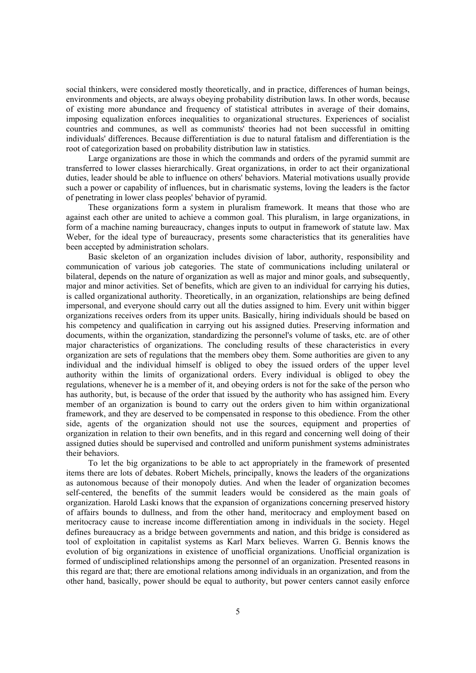social thinkers, were considered mostly theoretically, and in practice, differences of human beings, environments and objects, are always obeying probability distribution laws. In other words, because of existing more abundance and frequency of statistical attributes in average of their domains, imposing equalization enforces inequalities to organizational structures. Experiences of socialist countries and communes, as well as communists' theories had not been successful in omitting individuals' differences. Because differentiation is due to natural fatalism and differentiation is the root of categorization based on probability distribution law in statistics.

Large organizations are those in which the commands and orders of the pyramid summit are transferred to lower classes hierarchically. Great organizations, in order to act their organizational duties, leader should be able to influence on others' behaviors. Material motivations usually provide such a power or capability of influences, but in charismatic systems, loving the leaders is the factor of penetrating in lower class peoples' behavior of pyramid.

These organizations form a system in pluralism framework. It means that those who are against each other are united to achieve a common goal. This pluralism, in large organizations, in form of a machine naming bureaucracy, changes inputs to output in framework of statute law. Max Weber, for the ideal type of bureaucracy, presents some characteristics that its generalities have been accepted by administration scholars.

Basic skeleton of an organization includes division of labor, authority, responsibility and communication of various job categories. The state of communications including unilateral or bilateral, depends on the nature of organization as well as major and minor goals, and subsequently, major and minor activities. Set of benefits, which are given to an individual for carrying his duties, is called organizational authority. Theoretically, in an organization, relationships are being defined impersonal, and everyone should carry out all the duties assigned to him. Every unit within bigger organizations receives orders from its upper units. Basically, hiring individuals should be based on his competency and qualification in carrying out his assigned duties. Preserving information and documents, within the organization, standardizing the personnel's volume of tasks, etc. are of other major characteristics of organizations. The concluding results of these characteristics in every organization are sets of regulations that the members obey them. Some authorities are given to any individual and the individual himself is obliged to obey the issued orders of the upper level authority within the limits of organizational orders. Every individual is obliged to obey the regulations, whenever he is a member of it, and obeying orders is not for the sake of the person who has authority, but, is because of the order that issued by the authority who has assigned him. Every member of an organization is bound to carry out the orders given to him within organizational framework, and they are deserved to be compensated in response to this obedience. From the other side, agents of the organization should not use the sources, equipment and properties of organization in relation to their own benefits, and in this regard and concerning well doing of their assigned duties should be supervised and controlled and uniform punishment systems administrates their behaviors.

To let the big organizations to be able to act appropriately in the framework of presented items there are lots of debates. Robert Michels, principally, knows the leaders of the organizations as autonomous because of their monopoly duties. And when the leader of organization becomes self-centered, the benefits of the summit leaders would be considered as the main goals of organization. Harold Laski knows that the expansion of organizations concerning preserved history of affairs bounds to dullness, and from the other hand, meritocracy and employment based on meritocracy cause to increase income differentiation among in individuals in the society. Hegel defines bureaucracy as a bridge between governments and nation, and this bridge is considered as tool of exploitation in capitalist systems as Karl Marx believes. Warren G. Bennis knows the evolution of big organizations in existence of unofficial organizations. Unofficial organization is formed of undisciplined relationships among the personnel of an organization. Presented reasons in this regard are that; there are emotional relations among individuals in an organization, and from the other hand, basically, power should be equal to authority, but power centers cannot easily enforce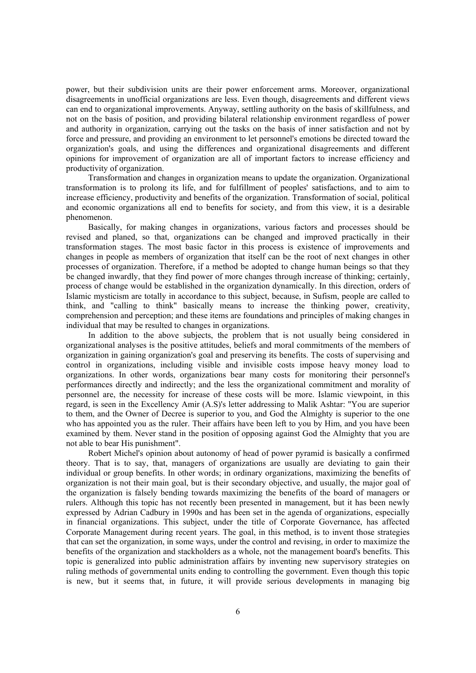power, but their subdivision units are their power enforcement arms. Moreover, organizational disagreements in unofficial organizations are less. Even though, disagreements and different views can end to organizational improvements. Anyway, settling authority on the basis of skillfulness, and not on the basis of position, and providing bilateral relationship environment regardless of power and authority in organization, carrying out the tasks on the basis of inner satisfaction and not by force and pressure, and providing an environment to let personnel's emotions be directed toward the organization's goals, and using the differences and organizational disagreements and different opinions for improvement of organization are all of important factors to increase efficiency and productivity of organization.

Transformation and changes in organization means to update the organization. Organizational transformation is to prolong its life, and for fulfillment of peoples' satisfactions, and to aim to increase efficiency, productivity and benefits of the organization. Transformation of social, political and economic organizations all end to benefits for society, and from this view, it is a desirable phenomenon.

Basically, for making changes in organizations, various factors and processes should be revised and planed, so that, organizations can be changed and improved practically in their transformation stages. The most basic factor in this process is existence of improvements and changes in people as members of organization that itself can be the root of next changes in other processes of organization. Therefore, if a method be adopted to change human beings so that they be changed inwardly, that they find power of more changes through increase of thinking; certainly, process of change would be established in the organization dynamically. In this direction, orders of Islamic mysticism are totally in accordance to this subject, because, in Sufism, people are called to think, and "calling to think" basically means to increase the thinking power, creativity, comprehension and perception; and these items are foundations and principles of making changes in individual that may be resulted to changes in organizations.

In addition to the above subjects, the problem that is not usually being considered in organizational analyses is the positive attitudes, beliefs and moral commitments of the members of organization in gaining organization's goal and preserving its benefits. The costs of supervising and control in organizations, including visible and invisible costs impose heavy money load to organizations. In other words, organizations bear many costs for monitoring their personnel's performances directly and indirectly; and the less the organizational commitment and morality of personnel are, the necessity for increase of these costs will be more. Islamic viewpoint, in this regard, is seen in the Excellency Amir (A.S)'s letter addressing to Malik Ashtar: "You are superior to them, and the Owner of Decree is superior to you, and God the Almighty is superior to the one who has appointed you as the ruler. Their affairs have been left to you by Him, and you have been examined by them. Never stand in the position of opposing against God the Almighty that you are not able to bear His punishment".

Robert Michel's opinion about autonomy of head of power pyramid is basically a confirmed theory. That is to say, that, managers of organizations are usually are deviating to gain their individual or group benefits. In other words; in ordinary organizations, maximizing the benefits of organization is not their main goal, but is their secondary objective, and usually, the major goal of the organization is falsely bending towards maximizing the benefits of the board of managers or rulers. Although this topic has not recently been presented in management, but it has been newly expressed by Adrian Cadbury in 1990s and has been set in the agenda of organizations, especially in financial organizations. This subject, under the title of Corporate Governance, has affected Corporate Management during recent years. The goal, in this method, is to invent those strategies that can set the organization, in some ways, under the control and revising, in order to maximize the benefits of the organization and stackholders as a whole, not the management board's benefits. This topic is generalized into public administration affairs by inventing new supervisory strategies on ruling methods of governmental units ending to controlling the government. Even though this topic is new, but it seems that, in future, it will provide serious developments in managing big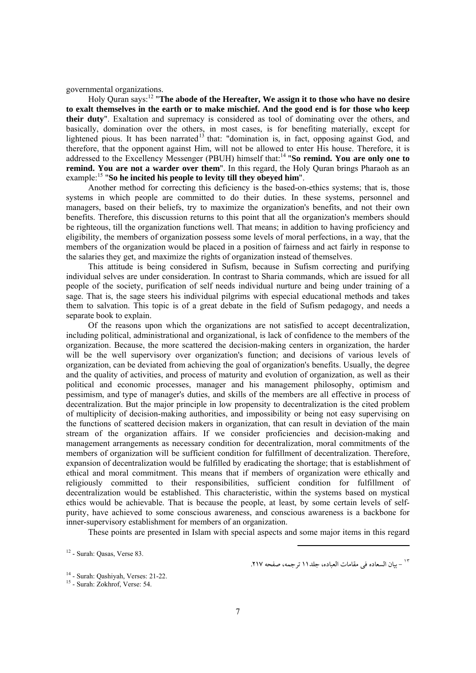governmental organizations.

Holy Quran says:12 "**The abode of the Hereafter, We assign it to those who have no desire to exalt themselves in the earth or to make mischief. And the good end is for those who keep their duty**". Exaltation and supremacy is considered as tool of dominating over the others, and basically, domination over the others, in most cases, is for benefiting materially, except for lightened pious. It has been narrated<sup>13</sup> that: "domination is, in fact, opposing against God, and therefore, that the opponent against Him, will not be allowed to enter His house. Therefore, it is addressed to the Excellency Messenger (PBUH) himself that:14 "**So remind. You are only one to remind. You are not a warder over them**". In this regard, the Holy Quran brings Pharaoh as an example:15 "**So he incited his people to levity till they obeyed him**".

Another method for correcting this deficiency is the based-on-ethics systems; that is, those systems in which people are committed to do their duties. In these systems, personnel and managers, based on their beliefs, try to maximize the organization's benefits, and not their own benefits. Therefore, this discussion returns to this point that all the organization's members should be righteous, till the organization functions well. That means; in addition to having proficiency and eligibility, the members of organization possess some levels of moral perfections, in a way, that the members of the organization would be placed in a position of fairness and act fairly in response to the salaries they get, and maximize the rights of organization instead of themselves.

This attitude is being considered in Sufism, because in Sufism correcting and purifying individual selves are under consideration. In contrast to Sharia commands, which are issued for all people of the society, purification of self needs individual nurture and being under training of a sage. That is, the sage steers his individual pilgrims with especial educational methods and takes them to salvation. This topic is of a great debate in the field of Sufism pedagogy, and needs a separate book to explain.

Of the reasons upon which the organizations are not satisfied to accept decentralization, including political, administrational and organizational, is lack of confidence to the members of the organization. Because, the more scattered the decision-making centers in organization, the harder will be the well supervisory over organization's function; and decisions of various levels of organization, can be deviated from achieving the goal of organization's benefits. Usually, the degree and the quality of activities, and process of maturity and evolution of organization, as well as their political and economic processes, manager and his management philosophy, optimism and pessimism, and type of manager's duties, and skills of the members are all effective in process of decentralization. But the major principle in low propensity to decentralization is the cited problem of multiplicity of decision-making authorities, and impossibility or being not easy supervising on the functions of scattered decision makers in organization, that can result in deviation of the main stream of the organization affairs. If we consider proficiencies and decision-making and management arrangements as necessary condition for decentralization, moral commitments of the members of organization will be sufficient condition for fulfillment of decentralization. Therefore, expansion of decentralization would be fulfilled by eradicating the shortage; that is establishment of ethical and moral commitment. This means that if members of organization were ethically and religiously committed to their responsibilities, sufficient condition for fulfillment of decentralization would be established. This characteristic, within the systems based on mystical ethics would be achievable. That is because the people, at least, by some certain levels of selfpurity, have achieved to some conscious awareness, and conscious awareness is a backbone for inner-supervisory establishment for members of an organization.

These points are presented in Islam with special aspects and some major items in this regard

 $12$  - Surah: Oasas, Verse 83.

<sup>-</sup> بيان السعاده في مقامات العباده، جلد11 ترجمه، صفحه .217 <sup>١٣</sup>

<sup>&</sup>lt;sup>14</sup> - Surah: Qashiyah, Verses: 21-22.<br><sup>15</sup> - Surah: Zokhrof, Verse: 54.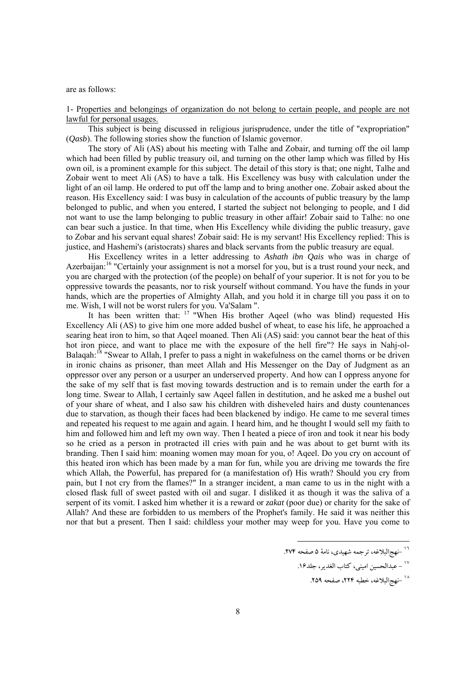are as follows:

1- Properties and belongings of organization do not belong to certain people, and people are not lawful for personal usages.

This subject is being discussed in religious jurisprudence, under the title of "expropriation" (*Qasb*). The following stories show the function of Islamic governor.

The story of Ali (AS) about his meeting with Talhe and Zobair, and turning off the oil lamp which had been filled by public treasury oil, and turning on the other lamp which was filled by His own oil, is a prominent example for this subject. The detail of this story is that; one night, Talhe and Zobair went to meet Ali (AS) to have a talk. His Excellency was busy with calculation under the light of an oil lamp. He ordered to put off the lamp and to bring another one. Zobair asked about the reason. His Excellency said: I was busy in calculation of the accounts of public treasury by the lamp belonged to public, and when you entered, I started the subject not belonging to people, and I did not want to use the lamp belonging to public treasury in other affair! Zobair said to Talhe: no one can bear such a justice. In that time, when His Excellency while dividing the public treasury, gave to Zobar and his servant equal shares! Zobair said: He is my servant! His Excellency replied: This is justice, and Hashemi's (aristocrats) shares and black servants from the public treasury are equal.

His Excellency writes in a letter addressing to *Ashath ibn Qais* who was in charge of Azerbaiian:<sup>16</sup> "Certainly your assignment is not a morsel for you, but is a trust round your neck, and you are charged with the protection (of the people) on behalf of your superior. It is not for you to be oppressive towards the peasants, nor to risk yourself without command. You have the funds in your hands, which are the properties of Almighty Allah, and you hold it in charge till you pass it on to me. Wish, I will not be worst rulers for you. Va'Salam ".

It has been written that:  $17$  "When His brother Aqeel (who was blind) requested His Excellency Ali (AS) to give him one more added bushel of wheat, to ease his life, he approached a searing heat iron to him, so that Aqeel moaned. Then Ali (AS) said: you cannot bear the heat of this hot iron piece, and want to place me with the exposure of the hell fire"? He says in Nahj-ol-Balagah:<sup>18</sup> "Swear to Allah, I prefer to pass a night in wakefulness on the camel thorns or be driven in ironic chains as prisoner, than meet Allah and His Messenger on the Day of Judgment as an oppressor over any person or a usurper an underserved property. And how can I oppress anyone for the sake of my self that is fast moving towards destruction and is to remain under the earth for a long time. Swear to Allah, I certainly saw Aqeel fallen in destitution, and he asked me a bushel out of your share of wheat, and I also saw his children with disheveled hairs and dusty countenances due to starvation, as though their faces had been blackened by indigo. He came to me several times and repeated his request to me again and again. I heard him, and he thought I would sell my faith to him and followed him and left my own way. Then I heated a piece of iron and took it near his body so he cried as a person in protracted ill cries with pain and he was about to get burnt with its branding. Then I said him: moaning women may moan for you, o! Aqeel. Do you cry on account of this heated iron which has been made by a man for fun, while you are driving me towards the fire which Allah, the Powerful, has prepared for (a manifestation of) His wrath? Should you cry from pain, but I not cry from the flames?" In a stranger incident, a man came to us in the night with a closed flask full of sweet pasted with oil and sugar. I disliked it as though it was the saliva of a serpent of its vomit. I asked him whether it is a reward or *zakat* (poor due) or charity for the sake of Allah? And these are forbidden to us members of the Prophet's family. He said it was neither this nor that but a present. Then I said: childless your mother may weep for you. Have you come to

<sup>.&</sup>lt;br><sup>١٦</sup> –نهج البلاغه، ترجمه شهيدي، نامهٔ ۵ صفحه ٢٧۴.

<sup>.&</sup>lt;br><sup>١٧ \_</sup> عبدالحسين اميني، كتاب الغدير، جلد16.

<sup>.&</sup>lt;br>^` –نهج|لبلاغه، خطبه ۲۲۴، صفحه ۲۵۹.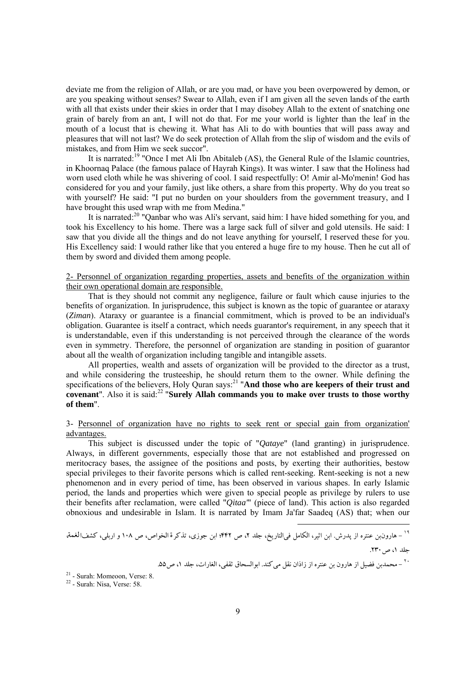deviate me from the religion of Allah, or are you mad, or have you been overpowered by demon, or are you speaking without senses? Swear to Allah, even if I am given all the seven lands of the earth with all that exists under their skies in order that I may disobey Allah to the extent of snatching one grain of barely from an ant, I will not do that. For me your world is lighter than the leaf in the mouth of a locust that is chewing it. What has Ali to do with bounties that will pass away and pleasures that will not last? We do seek protection of Allah from the slip of wisdom and the evils of mistakes, and from Him we seek succor".

It is narrated:19 "Once I met Ali Ibn Abitaleb (AS), the General Rule of the Islamic countries, in Khoornaq Palace (the famous palace of Hayrah Kings). It was winter. I saw that the Holiness had worn used cloth while he was shivering of cool. I said respectfully: O! Amir al-Mo'menin! God has considered for you and your family, just like others, a share from this property. Why do you treat so with yourself? He said: "I put no burden on your shoulders from the government treasury, and I have brought this used wrap with me from Medina."

It is narrated:20 "Qanbar who was Ali's servant, said him: I have hided something for you, and took his Excellency to his home. There was a large sack full of silver and gold utensils. He said: I saw that you divide all the things and do not leave anything for yourself, I reserved these for you. His Excellency said: I would rather like that you entered a huge fire to my house. Then he cut all of them by sword and divided them among people.

# 2- Personnel of organization regarding properties, assets and benefits of the organization within their own operational domain are responsible.

That is they should not commit any negligence, failure or fault which cause injuries to the benefits of organization. In jurisprudence, this subject is known as the topic of guarantee or ataraxy (*Ziman*). Ataraxy or guarantee is a financial commitment, which is proved to be an individual's obligation. Guarantee is itself a contract, which needs guarantor's requirement, in any speech that it is understandable, even if this understanding is not perceived through the clearance of the words even in symmetry. Therefore, the personnel of organization are standing in position of guarantor about all the wealth of organization including tangible and intangible assets.

All properties, wealth and assets of organization will be provided to the director as a trust, and while considering the trusteeship, he should return them to the owner. While defining the specifications of the believers, Holy Quran says:<sup>21</sup> "And those who are keepers of their trust and **covenant**". Also it is said:<sup>22</sup> "Surely Allah commands you to make over trusts to those worthy **of them**".

# 3- Personnel of organization have no rights to seek rent or special gain from organization' advantages.

This subject is discussed under the topic of "*Qataye*" (land granting) in jurisprudence. Always, in different governments, especially those that are not established and progressed on meritocracy bases, the assignee of the positions and posts, by exerting their authorities, bestow special privileges to their favorite persons which is called rent-seeking. Rent-seeking is not a new phenomenon and in every period of time, has been observed in various shapes. In early Islamic period, the lands and properties which were given to special people as privilege by rulers to use their benefits after reclamation, were called "*Qitaa'*" (piece of land). This action is also regarded obnoxious and undesirable in Islam. It is narrated by Imam Ja'far Saadeq (AS) that; when our

$$
``- مارونبن عنتره از پدرش. ابن اثیر، الکامل فیالتاریخ، جلد ۲، ص ۴۴۲۲ بن جوزی، تذکر ةالخواص، ص ۱۰۸ و اربلی، کشفالغمة
$$

جلد ۱، ص. ۲۳۰.

1

<sup>-</sup> محمدبن فضيل از هارون بن عنتره از زاذان نقل ميكند. ابوالسحاق ثقفي، الغارات، جلد ،1 ص.55 <sup>٢٠</sup>

 $21 -$  Surah: Momeoon, Verse: 8.<br> $22 -$  Surah: Nisa, Verse: 58.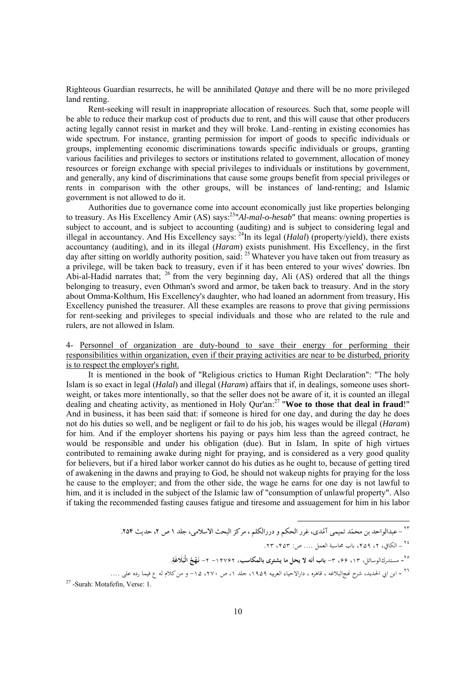Righteous Guardian resurrects, he will be annihilated *Qataye* and there will be no more privileged land renting.

Rent-seeking will result in inappropriate allocation of resources. Such that, some people will be able to reduce their markup cost of products due to rent, and this will cause that other producers acting legally cannot resist in market and they will broke. Land–renting in existing economies has wide spectrum. For instance, granting permission for import of goods to specific individuals or groups, implementing economic discriminations towards specific individuals or groups, granting various facilities and privileges to sectors or institutions related to government, allocation of money resources or foreign exchange with special privileges to individuals or institutions by government, and generally, any kind of discriminations that cause some groups benefit from special privileges or rents in comparison with the other groups, will be instances of land-renting; and Islamic government is not allowed to do it.

Authorities due to governance come into account economically just like properties belonging to treasury. As His Excellency Amir (AS) says:23"*Al-mal-o-hesab*" that means: owning properties is subject to account, and is subject to accounting (auditing) and is subject to considering legal and illegal in accountancy. And His Excellency says: <sup>24</sup>In its legal (*Halal*) (property/yield), there exists accountancy (auditing), and in its illegal (*Haram*) exists punishment. His Excellency, in the first day after sitting on worldly authority position, said: <sup>25</sup> Whatever you have taken out from treasury as a privilege, will be taken back to treasury, even if it has been entered to your wives' dowries. Ibn Abi-al-Hadid narrates that; <sup>26</sup> from the very beginning day, Ali (AS) ordered that all the things belonging to treasury, even Othman's sword and armor, be taken back to treasury. And in the story about Omma-Kolthum, His Excellency's daughter, who had loaned an adornment from treasury, His Excellency punished the treasurer. All these examples are reasons to prove that giving permissions for rent-seeking and privileges to special individuals and those who are related to the rule and rulers, are not allowed in Islam.

4- Personnel of organization are duty-bound to save their energy for performing their responsibilities within organization, even if their praying activities are near to be disturbed, priority is to respect the employer's right.

It is mentioned in the book of "Religious crictics to Human Right Declaration": "The holy Islam is so exact in legal (*Halal*) and illegal (*Haram*) affairs that if, in dealings, someone uses shortweight, or takes more intentionally, so that the seller does not be aware of it, it is counted an illegal dealing and cheating activity, as mentioned in Holy Qur'an:27 "**Woe to those that deal in fraud**!" And in business, it has been said that: if someone is hired for one day, and during the day he does not do his duties so well, and be negligent or fail to do his job, his wages would be illegal (*Haram*) for him. And if the employer shortens his paying or pays him less than the agreed contract, he would be responsible and under his obligation (due). But in Islam, In spite of high virtues contributed to remaining awake during night for praying, and is considered as a very good quality for believers, but if a hired labor worker cannot do his duties as he ought to, because of getting tired of awakening in the dawns and praying to God, he should not wakeup nights for praying for the loss he cause to the employer; and from the other side, the wage he earns for one day is not lawful to him, and it is included in the subject of the Islamic law of "consumption of unlawful property". Also if taking the recommended fasting causes fatigue and tiresome and assuagement for him in his labor

۰<sup>۲۳ ـ</sup> عبدالواحد بن محمّد تميمي آمُدي، غرر الحكم و دررالكلم ، مركز البحث الاسلامي، جلد ١ ص ٢، حديث ٢٥۴.

<sup>-</sup> الكافي، ،۲ ،۴۵۹ باب محاسبة العمل .... ص: ،۴۵۳ **.**۲۳ <sup>٢٤</sup>

**<sup>ِ</sup>** - مستدركالوسائل، ،۱۳ ،۶۶ -۳ **باب أنه لا يحل ما يشترى بالمكاسب،** -۱۴۷۶۲ -۲ <sup>٢٥</sup> **َة ََلاغ ُ الْب ْج نـ . َه**

<sup>- 1. :</sup>Verse ,Motafefin :Surah 27 - ابن ابي الحديد، شرح Ĕجالبلاغه ، قاهره ، دارالاحياء العربيه ،۱۹۵۹ جلد ،۱ <sup>ص</sup> ،۲۷۰ -<sup>۱۵</sup> <sup>و</sup> منكلام له <sup>ع</sup> فيما رده على **.**... <sup>٢٦</sup>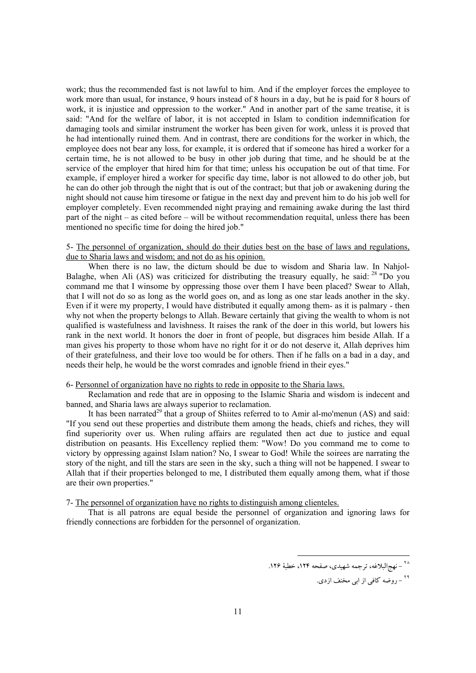work; thus the recommended fast is not lawful to him. And if the employer forces the employee to work more than usual, for instance, 9 hours instead of 8 hours in a day, but he is paid for 8 hours of work, it is injustice and oppression to the worker." And in another part of the same treatise, it is said: "And for the welfare of labor, it is not accepted in Islam to condition indemnification for damaging tools and similar instrument the worker has been given for work, unless it is proved that he had intentionally ruined them. And in contrast, there are conditions for the worker in which, the employee does not bear any loss, for example, it is ordered that if someone has hired a worker for a certain time, he is not allowed to be busy in other job during that time, and he should be at the service of the employer that hired him for that time; unless his occupation be out of that time. For example, if employer hired a worker for specific day time, labor is not allowed to do other job, but he can do other job through the night that is out of the contract; but that job or awakening during the night should not cause him tiresome or fatigue in the next day and prevent him to do his job well for employer completely. Even recommended night praying and remaining awake during the last third part of the night – as cited before – will be without recommendation requital, unless there has been mentioned no specific time for doing the hired job."

## 5- The personnel of organization, should do their duties best on the base of laws and regulations, due to Sharia laws and wisdom; and not do as his opinion.

When there is no law, the dictum should be due to wisdom and Sharia law. In Nahjol-Balaghe, when Ali (AS) was criticized for distributing the treasury equally, he said:  $^{28}$  "Do you command me that I winsome by oppressing those over them I have been placed? Swear to Allah, that I will not do so as long as the world goes on, and as long as one star leads another in the sky. Even if it were my property, I would have distributed it equally among them- as it is palmary - then why not when the property belongs to Allah. Beware certainly that giving the wealth to whom is not qualified is wastefulness and lavishness. It raises the rank of the doer in this world, but lowers his rank in the next world. It honors the doer in front of people, but disgraces him beside Allah. If a man gives his property to those whom have no right for it or do not deserve it, Allah deprives him of their gratefulness, and their love too would be for others. Then if he falls on a bad in a day, and needs their help, he would be the worst comrades and ignoble friend in their eyes."

## 6- Personnel of organization have no rights to rede in opposite to the Sharia laws.

Reclamation and rede that are in opposing to the Islamic Sharia and wisdom is indecent and banned, and Sharia laws are always superior to reclamation.

It has been narrated<sup>29</sup> that a group of Shiites referred to to Amir al-mo'menun  $(AS)$  and said: "If you send out these properties and distribute them among the heads, chiefs and riches, they will find superiority over us. When ruling affairs are regulated then act due to justice and equal distribution on peasants. His Excellency replied them: "Wow! Do you command me to come to victory by oppressing against Islam nation? No, I swear to God! While the soirees are narrating the story of the night, and till the stars are seen in the sky, such a thing will not be happened. I swear to Allah that if their properties belonged to me, I distributed them equally among them, what if those are their own properties."

#### 7- The personnel of organization have no rights to distinguish among clienteles.

That is all patrons are equal beside the personnel of organization and ignoring laws for friendly connections are forbidden for the personnel of organization.

<sup>.&</sup>lt;br><sup>۲۸</sup> – نهجالبلاغه، ترجمه شهيدى، صفحه ۱۲۴، خطبهٔ ۱۲۶.

<sup>&</sup>lt;sup>۲۹</sup> - روضه كافي از ابي مخنف ازدي.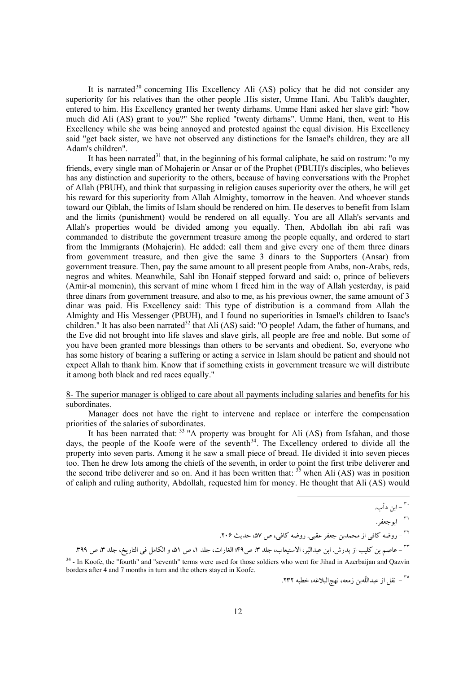It is narrated<sup>30</sup> concerning His Excellency Ali  $(AS)$  policy that he did not consider any superiority for his relatives than the other people .His sister, Umme Hani, Abu Talib's daughter, entered to him. His Excellency granted her twenty dirhams. Umme Hani asked her slave girl: "how much did Ali (AS) grant to you?" She replied "twenty dirhams". Umme Hani, then, went to His Excellency while she was being annoyed and protested against the equal division. His Excellency said "get back sister, we have not observed any distinctions for the Ismael's children, they are all Adam's children".

It has been narrated $31$  that, in the beginning of his formal caliphate, he said on rostrum: "o my friends, every single man of Mohajerin or Ansar or of the Prophet (PBUH)'s disciples, who believes has any distinction and superiority to the others, because of having conversations with the Prophet of Allah (PBUH), and think that surpassing in religion causes superiority over the others, he will get his reward for this superiority from Allah Almighty, tomorrow in the heaven. And whoever stands toward our Qiblah, the limits of Islam should be rendered on him. He deserves to benefit from Islam and the limits (punishment) would be rendered on all equally. You are all Allah's servants and Allah's properties would be divided among you equally. Then, Abdollah ibn abi rafi was commanded to distribute the government treasure among the people equally, and ordered to start from the Immigrants (Mohajerin). He added: call them and give every one of them three dinars from government treasure, and then give the same 3 dinars to the Supporters (Ansar) from government treasure. Then, pay the same amount to all present people from Arabs, non-Arabs, reds, negros and whites. Meanwhile, Sahl ibn Honaif stepped forward and said: o, prince of believers (Amir-al momenin), this servant of mine whom I freed him in the way of Allah yesterday, is paid three dinars from government treasure, and also to me, as his previous owner, the same amount of 3 dinar was paid. His Excellency said: This type of distribution is a command from Allah the Almighty and His Messenger (PBUH), and I found no superiorities in Ismael's children to Isaac's children." It has also been narrated<sup>32</sup> that Ali (AS) said: "O people! Adam, the father of humans, and the Eve did not brought into life slaves and slave girls, all people are free and noble. But some of you have been granted more blessings than others to be servants and obedient. So, everyone who has some history of bearing a suffering or acting a service in Islam should be patient and should not expect Allah to thank him. Know that if something exists in government treasure we will distribute it among both black and red races equally."

## 8- The superior manager is obliged to care about all payments including salaries and benefits for his subordinates.

Manager does not have the right to intervene and replace or interfere the compensation priorities of the salaries of subordinates.

It has been narrated that:  $33$  "A property was brought for Ali (AS) from Isfahan, and those days, the people of the Koofe were of the seventh<sup>34</sup>. The Excellency ordered to divide all the property into seven parts. Among it he saw a small piece of bread. He divided it into seven pieces too. Then he drew lots among the chiefs of the seventh, in order to point the first tribe deliverer and the second tribe deliverer and so on. And it has been written that:  $35$  when Ali (AS) was in position of caliph and ruling authority, Abdollah, requested him for money. He thought that Ali (AS) would

<sup>٣٢</sup> – عاصم بن كليب از پدرش. ابن عبدالبّر، الاستيعاب، جلد ٣، ص4٩؛ الغارات، جلد ١، ص ٥١، و الكامل في التاريخ، جلد ٣، ص ٣٩٩.

<sup>34</sup> - In Koofe, the "fourth" and "seventh" terms were used for those soldiers who went for Jihad in Azerbaijan and Qazvin borders after 4 and 7 months in turn and the others stayed in Koofe.

.<br>~ - نقل از عبداللّهبن زمعه، نهجالبلاغه، خطبه ٢٣٢.

<sup>.&</sup>lt;sub>٣٠</sub> - ابن دأب.

<sup>.</sup> ٣١ - ابو جعفر

<sup>&</sup>lt;sup>٢٢</sup> - روضه كافي از محمدبن جعفر عقبي. روضه كافي، ص ۵۷، حديث ٢٠۶.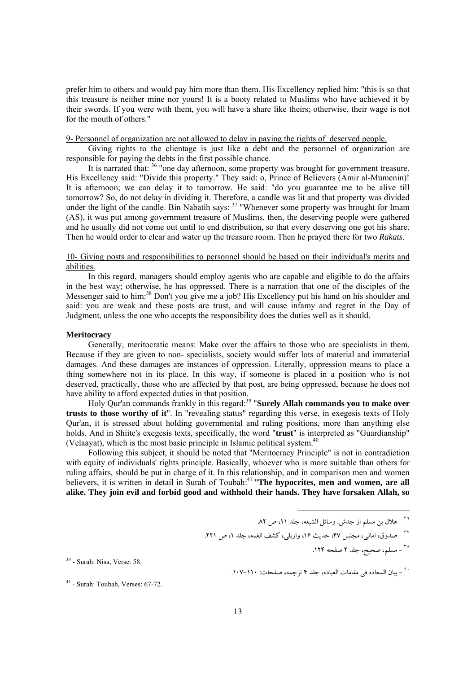prefer him to others and would pay him more than them. His Excellency replied him: "this is so that this treasure is neither mine nor yours! It is a booty related to Muslims who have achieved it by their swords. If you were with them, you will have a share like theirs; otherwise, their wage is not for the mouth of others."

9- Personnel of organization are not allowed to delay in paying the rights of deserved people.

Giving rights to the clientage is just like a debt and the personnel of organization are responsible for paying the debts in the first possible chance.

It is narrated that: <sup>36</sup> "one day afternoon, some property was brought for government treasure. His Excellency said: "Divide this property." They said: o, Prince of Believers (Amir al-Mumenin)! It is afternoon; we can delay it to tomorrow. He said: "do you guarantee me to be alive till tomorrow? So, do not delay in dividing it. Therefore, a candle was lit and that property was divided under the light of the candle. Bin Nabatih says: <sup>37</sup> "Whenever some property was brought for Imam (AS), it was put among government treasure of Muslims, then, the deserving people were gathered and he usually did not come out until to end distribution, so that every deserving one got his share. Then he would order to clear and water up the treasure room. Then he prayed there for two *Rakats*.

## 10- Giving posts and responsibilities to personnel should be based on their individual's merits and abilities.

In this regard, managers should employ agents who are capable and eligible to do the affairs in the best way; otherwise, he has oppressed. There is a narration that one of the disciples of the Messenger said to him:<sup>38</sup> Don't you give me a job? His Excellency put his hand on his shoulder and said: you are weak and these posts are trust, and will cause infamy and regret in the Day of Judgment, unless the one who accepts the responsibility does the duties well as it should.

## **Meritocracy**

Generally, meritocratic means: Make over the affairs to those who are specialists in them. Because if they are given to non- specialists, society would suffer lots of material and immaterial damages. And these damages are instances of oppression. Literally, oppression means to place a thing somewhere not in its place. In this way, if someone is placed in a position who is not deserved, practically, those who are affected by that post, are being oppressed, because he does not have ability to afford expected duties in that position.

Holy Qur'an commands frankly in this regard: 39 "**Surely Allah commands you to make over trusts to those worthy of it**". In "revealing status" regarding this verse, in exegesis texts of Holy Qur'an, it is stressed about holding governmental and ruling positions, more than anything else holds. And in Shiite's exegesis texts, specifically, the word "**trust**" is interpreted as "Guardianship" (Velaayat), which is the most basic principle in Islamic political system. 40

Following this subject, it should be noted that "Meritocracy Principle" is not in contradiction with equity of individuals' rights principle. Basically, whoever who is more suitable than others for ruling affairs, should be put in charge of it. In this relationship, and in comparison men and women believers, it is written in detail in Surah of Toubah:<sup>41</sup> "The hypocrites, men and women, are all **alike. They join evil and forbid good and withhold their hands. They have forsaken Allah, so** 

.<br><sup>۳۸</sup> – مسلم، صحیح، جلد ۲ صفحه ۱۲۴.

 $39$  - Surah: Nisa, Verse: 58.

<sup>&</sup>lt;sup>٣٦</sup> – هلال بن مسلم از جدش. وسائل الشيعه، جلد ١١، ص ٨٢.

<sup>&</sup>lt;sup>٣٧</sup> - صدوق، امالي، مجلس ۴۷، حديث ۱۶، واربلي، كشف الغمه، جلد ١، ص ٢٢١.

<sup>-</sup> بيان السعاده في مقامات العباده، جلد 4 ترجمه، صفحات: .107-110 <sup>٤٠</sup>

 $41$  - Surah: Toubah, Verses: 67-72.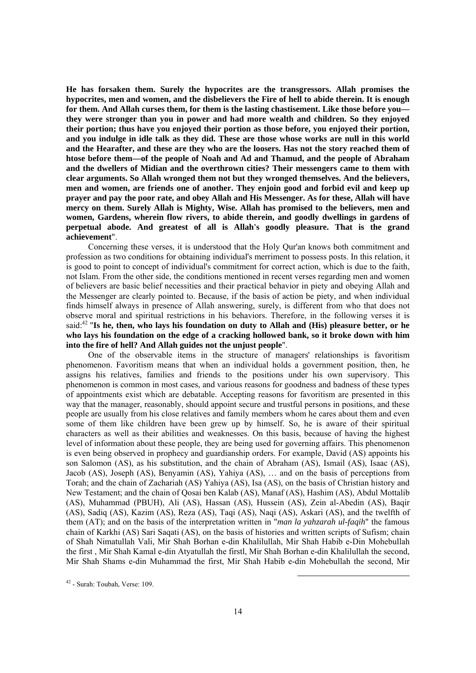**He has forsaken them. Surely the hypocrites are the transgressors. Allah promises the hypocrites, men and women, and the disbelievers the Fire of hell to abide therein. It is enough for them. And Allah curses them, for them is the lasting chastisement. Like those before you they were stronger than you in power and had more wealth and children. So they enjoyed their portion; thus have you enjoyed their portion as those before, you enjoyed their portion, and you indulge in idle talk as they did. These are those whose works are null in this world and the Hearafter, and these are they who are the loosers. Has not the story reached them of htose before them—of the people of Noah and Ad and Thamud, and the people of Abraham and the dwellers of Midian and the overthrown cities? Their messengers came to them with clear arguments. So Allah wronged them not but they wronged themselves. And the believers, men and women, are friends one of another. They enjoin good and forbid evil and keep up prayer and pay the poor rate, and obey Allah and His Messenger. As for these, Allah will have mercy on them. Surely Allah is Mighty, Wise. Allah has promised to the believers, men and women, Gardens, wherein flow rivers, to abide therein, and goodly dwellings in gardens of perpetual abode. And greatest of all is Allah's goodly pleasure. That is the grand achievement**".

Concerning these verses, it is understood that the Holy Qur'an knows both commitment and profession as two conditions for obtaining individual's merriment to possess posts. In this relation, it is good to point to concept of individual's commitment for correct action, which is due to the faith, not Islam. From the other side, the conditions mentioned in recent verses regarding men and women of believers are basic belief necessities and their practical behavior in piety and obeying Allah and the Messenger are clearly pointed to. Because, if the basis of action be piety, and when individual finds himself always in presence of Allah answering, surely, is different from who that does not observe moral and spiritual restrictions in his behaviors. Therefore, in the following verses it is said:<sup>42</sup> "Is he, then, who lays his foundation on duty to Allah and (His) pleasure better, or he **who lays his foundation on the edge of a cracking hollowed bank, so it broke down with him into the fire of hell? And Allah guides not the unjust people**".

One of the observable items in the structure of managers' relationships is favoritism phenomenon. Favoritism means that when an individual holds a government position, then, he assigns his relatives, families and friends to the positions under his own supervisory. This phenomenon is common in most cases, and various reasons for goodness and badness of these types of appointments exist which are debatable. Accepting reasons for favoritism are presented in this way that the manager, reasonably, should appoint secure and trustful persons in positions, and these people are usually from his close relatives and family members whom he cares about them and even some of them like children have been grew up by himself. So, he is aware of their spiritual characters as well as their abilities and weaknesses. On this basis, because of having the highest level of information about these people, they are being used for governing affairs. This phenomenon is even being observed in prophecy and guardianship orders. For example, David (AS) appoints his son Salomon (AS), as his substitution, and the chain of Abraham (AS), Ismail (AS), Isaac (AS), Jacob (AS), Joseph (AS), Benyamin (AS), Yahiya (AS), … and on the basis of perceptions from Torah; and the chain of Zachariah (AS) Yahiya (AS), Isa (AS), on the basis of Christian history and New Testament; and the chain of Qosai ben Kalab (AS), Manaf (AS), Hashim (AS), Abdul Mottalib (AS), Muhammad (PBUH), Ali (AS), Hassan (AS), Hussein (AS), Zein al-Abedin (AS), Baqir (AS), Sadiq (AS), Kazim (AS), Reza (AS), Taqi (AS), Naqi (AS), Askari (AS), and the twelfth of them (AT); and on the basis of the interpretation written in "*man la yahzarah ul-faqih*" the famous chain of Karkhi (AS) Sari Saqati (AS), on the basis of histories and written scripts of Sufism; chain of Shah Nimatullah Vali, Mir Shah Borhan e-din Khalilullah, Mir Shah Habib e-Din Mohebullah the first , Mir Shah Kamal e-din Atyatullah the firstl, Mir Shah Borhan e-din Khalilullah the second, Mir Shah Shams e-din Muhammad the first, Mir Shah Habib e-din Mohebullah the second, Mir

 $42$  - Surah: Toubah, Verse: 109.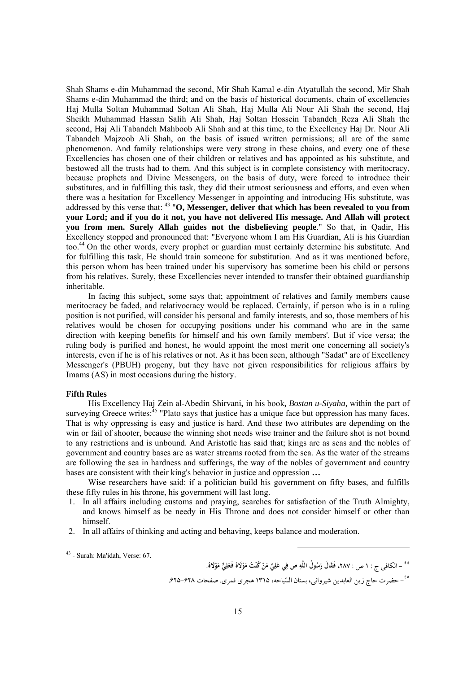Shah Shams e-din Muhammad the second, Mir Shah Kamal e-din Atyatullah the second, Mir Shah Shams e-din Muhammad the third; and on the basis of historical documents, chain of excellencies Haj Mulla Soltan Muhammad Soltan Ali Shah, Haj Mulla Ali Nour Ali Shah the second, Haj Sheikh Muhammad Hassan Salih Ali Shah, Haj Soltan Hossein Tabandeh Reza Ali Shah the second, Haj Ali Tabandeh Mahboob Ali Shah and at this time, to the Excellency Haj Dr. Nour Ali Tabandeh Majzoob Ali Shah, on the basis of issued written permissions; all are of the same phenomenon. And family relationships were very strong in these chains, and every one of these Excellencies has chosen one of their children or relatives and has appointed as his substitute, and bestowed all the trusts had to them. And this subject is in complete consistency with meritocracy, because prophets and Divine Messengers, on the basis of duty, were forced to introduce their substitutes, and in fulfilling this task, they did their utmost seriousness and efforts, and even when there was a hesitation for Excellency Messenger in appointing and introducing His substitute, was addressed by this verse that: 43 "**O, Messenger, deliver that which has been revealed to you from your Lord; and if you do it not, you have not delivered His message. And Allah will protect you from men. Surely Allah guides not the disbelieving people**." So that, in Qadir, His Excellency stopped and pronounced that: "Everyone whom I am His Guardian, Ali is his Guardian too.44 On the other words, every prophet or guardian must certainly determine his substitute. And for fulfilling this task, He should train someone for substitution. And as it was mentioned before, this person whom has been trained under his supervisory has sometime been his child or persons from his relatives. Surely, these Excellencies never intended to transfer their obtained guardianship inheritable.

In facing this subject, some says that; appointment of relatives and family members cause meritocracy be faded, and relativocracy would be replaced. Certainly, if person who is in a ruling position is not purified, will consider his personal and family interests, and so, those members of his relatives would be chosen for occupying positions under his command who are in the same direction with keeping benefits for himself and his own family members'. But if vice versa; the ruling body is purified and honest, he would appoint the most merit one concerning all society's interests, even if he is of his relatives or not. As it has been seen, although "Sadat" are of Excellency Messenger's (PBUH) progeny, but they have not given responsibilities for religious affairs by Imams (AS) in most occasions during the history.

## **Fifth Rules**

His Excellency Haj Zein al-Abedin Shirvani**,** in his book**,** *Bostan u-Siyaha,* within the part of surveying Greece writes:<sup>45</sup> "Plato says that justice has a unique face but oppression has many faces. That is why oppressing is easy and justice is hard. And these two attributes are depending on the win or fail of shooter, because the winning shot needs wise trainer and the failure shot is not bound to any restrictions and is unbound. And Aristotle has said that; kings are as seas and the nobles of government and country bases are as water streams rooted from the sea. As the water of the streams are following the sea in hardness and sufferings, the way of the nobles of government and country bases are consistent with their king's behavior in justice and oppression **…** 

Wise researchers have said: if a politician build his government on fifty bases, and fulfills these fifty rules in his throne, his government will last long.

- 1. In all affairs including customs and praying, searches for satisfaction of the Truth Almighty, and knows himself as be needy in His Throne and does not consider himself or other than himself.
- 2. In all affairs of thinking and acting and behaving, keeps balance and moderation.

 $43$  - Surah: Ma'idah, Verse: 67.

'' ' – الكافى ج : ١ ص : ٢٨٧، فَقَالَ رَسُولُ اللَّهِ ص فِي عَلِيٍّ مَنْ كُنْتُ مَوْلَاهُ فَعَلِيٍّ مَوْلَاهُ. **ِ َ ِ**

<sup>-</sup> حضرت حاج زين العابدين شيرواني، بستان السياحه، 1315 هجري قمري. صفحات .625-628 <sup>٤٥</sup>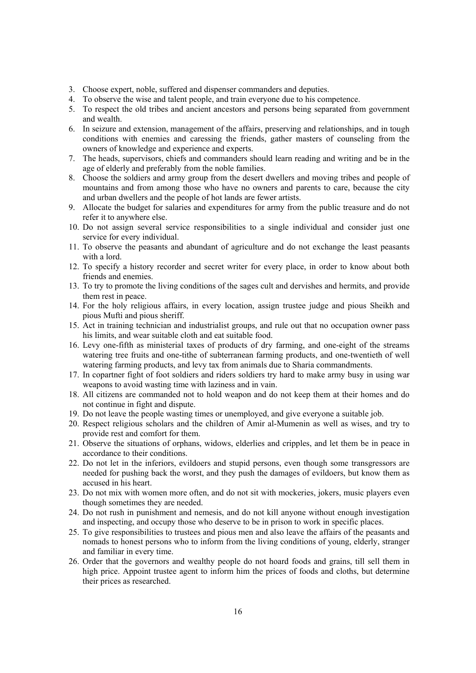- 3. Choose expert, noble, suffered and dispenser commanders and deputies.
- 4. To observe the wise and talent people, and train everyone due to his competence.
- 5. To respect the old tribes and ancient ancestors and persons being separated from government and wealth.
- 6. In seizure and extension, management of the affairs, preserving and relationships, and in tough conditions with enemies and caressing the friends, gather masters of counseling from the owners of knowledge and experience and experts.
- 7. The heads, supervisors, chiefs and commanders should learn reading and writing and be in the age of elderly and preferably from the noble families.
- 8. Choose the soldiers and army group from the desert dwellers and moving tribes and people of mountains and from among those who have no owners and parents to care, because the city and urban dwellers and the people of hot lands are fewer artists.
- 9. Allocate the budget for salaries and expenditures for army from the public treasure and do not refer it to anywhere else.
- 10. Do not assign several service responsibilities to a single individual and consider just one service for every individual.
- 11. To observe the peasants and abundant of agriculture and do not exchange the least peasants with a lord.
- 12. To specify a history recorder and secret writer for every place, in order to know about both friends and enemies.
- 13. To try to promote the living conditions of the sages cult and dervishes and hermits, and provide them rest in peace.
- 14. For the holy religious affairs, in every location, assign trustee judge and pious Sheikh and pious Mufti and pious sheriff.
- 15. Act in training technician and industrialist groups, and rule out that no occupation owner pass his limits, and wear suitable cloth and eat suitable food.
- 16. Levy one-fifth as ministerial taxes of products of dry farming, and one-eight of the streams watering tree fruits and one-tithe of subterranean farming products, and one-twentieth of well watering farming products, and levy tax from animals due to Sharia commandments.
- 17. In copartner fight of foot soldiers and riders soldiers try hard to make army busy in using war weapons to avoid wasting time with laziness and in vain.
- 18. All citizens are commanded not to hold weapon and do not keep them at their homes and do not continue in fight and dispute.
- 19. Do not leave the people wasting times or unemployed, and give everyone a suitable job.
- 20. Respect religious scholars and the children of Amir al-Mumenin as well as wises, and try to provide rest and comfort for them.
- 21. Observe the situations of orphans, widows, elderlies and cripples, and let them be in peace in accordance to their conditions.
- 22. Do not let in the inferiors, evildoers and stupid persons, even though some transgressors are needed for pushing back the worst, and they push the damages of evildoers, but know them as accused in his heart.
- 23. Do not mix with women more often, and do not sit with mockeries, jokers, music players even though sometimes they are needed.
- 24. Do not rush in punishment and nemesis, and do not kill anyone without enough investigation and inspecting, and occupy those who deserve to be in prison to work in specific places.
- 25. To give responsibilities to trustees and pious men and also leave the affairs of the peasants and nomads to honest persons who to inform from the living conditions of young, elderly, stranger and familiar in every time.
- 26. Order that the governors and wealthy people do not hoard foods and grains, till sell them in high price. Appoint trustee agent to inform him the prices of foods and cloths, but determine their prices as researched.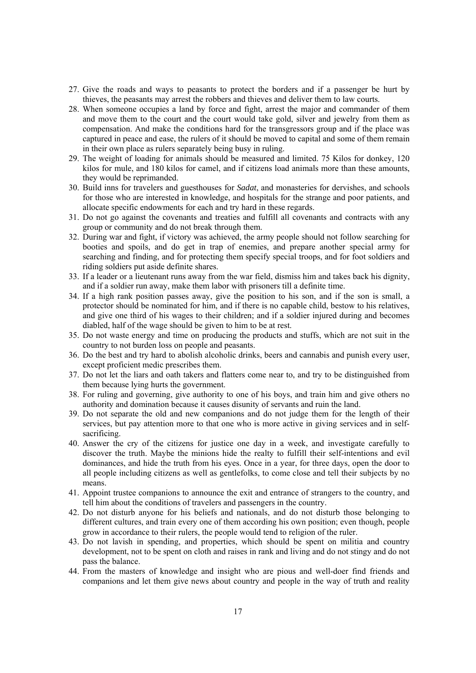- 27. Give the roads and ways to peasants to protect the borders and if a passenger be hurt by thieves, the peasants may arrest the robbers and thieves and deliver them to law courts.
- 28. When someone occupies a land by force and fight, arrest the major and commander of them and move them to the court and the court would take gold, silver and jewelry from them as compensation. And make the conditions hard for the transgressors group and if the place was captured in peace and ease, the rulers of it should be moved to capital and some of them remain in their own place as rulers separately being busy in ruling.
- 29. The weight of loading for animals should be measured and limited. 75 Kilos for donkey, 120 kilos for mule, and 180 kilos for camel, and if citizens load animals more than these amounts, they would be reprimanded.
- 30. Build inns for travelers and guesthouses for *Sadat*, and monasteries for dervishes, and schools for those who are interested in knowledge, and hospitals for the strange and poor patients, and allocate specific endowments for each and try hard in these regards.
- 31. Do not go against the covenants and treaties and fulfill all covenants and contracts with any group or community and do not break through them.
- 32. During war and fight, if victory was achieved, the army people should not follow searching for booties and spoils, and do get in trap of enemies, and prepare another special army for searching and finding, and for protecting them specify special troops, and for foot soldiers and riding soldiers put aside definite shares.
- 33. If a leader or a lieutenant runs away from the war field, dismiss him and takes back his dignity, and if a soldier run away, make them labor with prisoners till a definite time.
- 34. If a high rank position passes away, give the position to his son, and if the son is small, a protector should be nominated for him, and if there is no capable child, bestow to his relatives, and give one third of his wages to their children; and if a soldier injured during and becomes diabled, half of the wage should be given to him to be at rest.
- 35. Do not waste energy and time on producing the products and stuffs, which are not suit in the country to not burden loss on people and peasants.
- 36. Do the best and try hard to abolish alcoholic drinks, beers and cannabis and punish every user, except proficient medic prescribes them.
- 37. Do not let the liars and oath takers and flatters come near to, and try to be distinguished from them because lying hurts the government.
- 38. For ruling and governing, give authority to one of his boys, and train him and give others no authority and domination because it causes disunity of servants and ruin the land.
- 39. Do not separate the old and new companions and do not judge them for the length of their services, but pay attention more to that one who is more active in giving services and in selfsacrificing.
- 40. Answer the cry of the citizens for justice one day in a week, and investigate carefully to discover the truth. Maybe the minions hide the realty to fulfill their self-intentions and evil dominances, and hide the truth from his eyes. Once in a year, for three days, open the door to all people including citizens as well as gentlefolks, to come close and tell their subjects by no means.
- 41. Appoint trustee companions to announce the exit and entrance of strangers to the country, and tell him about the conditions of travelers and passengers in the country.
- 42. Do not disturb anyone for his beliefs and nationals, and do not disturb those belonging to different cultures, and train every one of them according his own position; even though, people grow in accordance to their rulers, the people would tend to religion of the ruler.
- 43. Do not lavish in spending, and properties, which should be spent on militia and country development, not to be spent on cloth and raises in rank and living and do not stingy and do not pass the balance.
- 44. From the masters of knowledge and insight who are pious and well-doer find friends and companions and let them give news about country and people in the way of truth and reality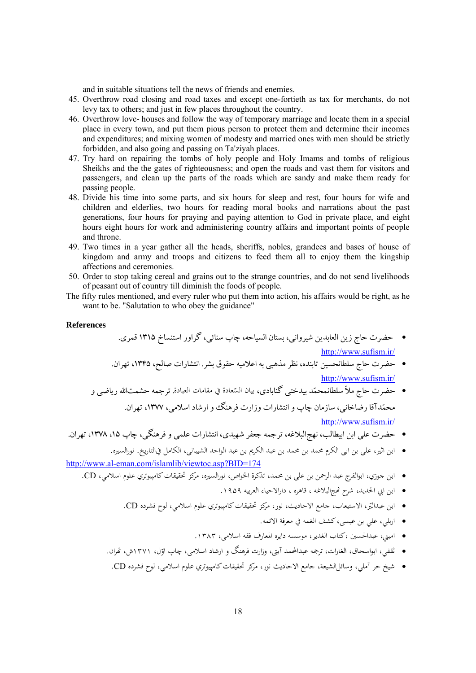and in suitable situations tell the news of friends and enemies.

- 45. Overthrow road closing and road taxes and except one-fortieth as tax for merchants, do not levy tax to others; and just in few places throughout the country.
- 46. Overthrow love- houses and follow the way of temporary marriage and locate them in a special place in every town, and put them pious person to protect them and determine their incomes and expenditures; and mixing women of modesty and married ones with men should be strictly forbidden, and also going and passing on Ta'ziyah places.
- 47. Try hard on repairing the tombs of holy people and Holy Imams and tombs of religious Sheikhs and the the gates of righteousness; and open the roads and vast them for visitors and passengers, and clean up the parts of the roads which are sandy and make them ready for passing people.
- 48. Divide his time into some parts, and six hours for sleep and rest, four hours for wife and children and elderlies, two hours for reading moral books and narrations about the past generations, four hours for praying and paying attention to God in private place, and eight hours eight hours for work and administering country affairs and important points of people and throne.
- 49. Two times in a year gather all the heads, sheriffs, nobles, grandees and bases of house of kingdom and army and troops and citizens to feed them all to enjoy them the kingship affections and ceremonies.
- 50. Order to stop taking cereal and grains out to the strange countries, and do not send livelihoods of peasant out of country till diminish the foods of people.
- The fifty rules mentioned, and every ruler who put them into action, his affairs would be right, as he want to be. "Salutation to who obey the guidance"

#### **References**

• حضرت حاج زين العابدين شيرواني، بستان السياحه، چاپ سنائي، گراور استنساخ 1315 قمري. http://www.sufism.ir/

- حضرت حاج سلطانحسين تابنده، نظرمذهبي به اعلاميه حقوق بشر. انتشارات صالح، ،1345 تهران. http://www.sufism.ir/
- بيان الس . ترجمه حشمتاالله رياضي و ّ حضرت حاج ملاّ سلطانمحمد بيدختي گنابادي، عادة في مقامات العبادة محمدآقا رضاخاني، سازمان چاپ وانتشارات وزارت فرهنگ وارشاد اسلامي، ،1377 تهران. http://www.sufism.ir/
- حضرت علي ابن ابيطالب، نهجالبلاغه، ترجمه جعفر شهيدي، انتشارات علمي وفرهنگي، چاپ ،15 ،1378 تهران.
- ابن اثير، علی بن ابی الکرم محمد بن محمد بن عبد الکريم بن عبد الواحد الشيبانی، الكامل فيالتاريخ. نورالسيره. http://www.al-eman.com/islamlib/viewtoc.asp?BID=174
	- ابن جوزي، ابوالفرج عبد الرحمن بن علی بن محمد، تذكرة الخواص، نورالسيره، مركز تحقيقاتكامپيوتري علوم اسلامي، CD.
		- ابن ابي الحديد، شرح Ĕجالبلاغه ، قاهره ، دارالاحياء العربيه .۱۹۵۹
		- ابن عبدالبّر، الاستيعاب، جامع الاحاديث، نور، مركز تحقيقات كامپيوتري علوم اسلامي، لوح فشرده CD.
			- اربلي، علي بن عيسی،كشف الغمه في معرفة الائمه.
			- اميني، عبدالحسين ،كتاب الغدير، موسسه دايره المعارف فقه اسلامی، .۱۳۸۳
		- ثقفي، ابواسحاق، الغارات، ترجمه عبدالمحمد آيتى، وزارت فرهنگ و ارشاد اسلامى، چاپ اوّل، ۱۳۷۱ش، تمران.<br>\*
		- شيخ حر آملي، وسائلالشيعة، جامع الاحاديث نور، مركز تحقيقاتكامپيوتري علوم اسلامي، لوح فشرده CD.